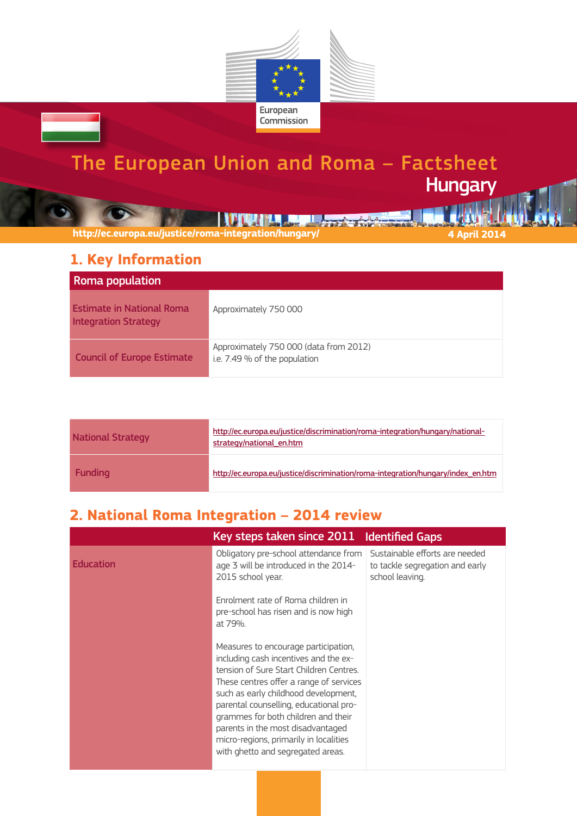

# The European Union and Roma – Factsheet **Hungary**

**THE REPORT OF STATE OF BUILDING** 

**http://ec.europa.eu/justice/roma-integration/hungary/ 4 April 2014**

### **1. Key Information**

| Roma population                                                 |                                                                         |
|-----------------------------------------------------------------|-------------------------------------------------------------------------|
| <b>Estimate in National Roma</b><br><b>Integration Strategy</b> | Approximately 750 000                                                   |
| <b>Council of Europe Estimate</b>                               | Approximately 750 000 (data from 2012)<br>i.e. 7.49 % of the population |

| <b>National Strategy</b> | http://ec.europa.eu/justice/discrimination/roma-integration/hungary/national-<br>strategy/national en.htm |
|--------------------------|-----------------------------------------------------------------------------------------------------------|
| <b>Funding</b>           | http://ec.europa.eu/justice/discrimination/roma-integration/hungary/index en.htm                          |

## **2. National Roma Integration – 2014 review**

|                  | Key steps taken since 2011                                                                                                                                                                                                                                                                                                                                                                                       | <b>Identified Gaps</b>                                                               |
|------------------|------------------------------------------------------------------------------------------------------------------------------------------------------------------------------------------------------------------------------------------------------------------------------------------------------------------------------------------------------------------------------------------------------------------|--------------------------------------------------------------------------------------|
| <b>Education</b> | Obligatory pre-school attendance from<br>age 3 will be introduced in the 2014-<br>2015 school year.                                                                                                                                                                                                                                                                                                              | Sustainable efforts are needed<br>to tackle segregation and early<br>school leaving. |
|                  | Enrolment rate of Roma children in<br>pre-school has risen and is now high<br>at 79%.                                                                                                                                                                                                                                                                                                                            |                                                                                      |
|                  | Measures to encourage participation,<br>including cash incentives and the ex-<br>tension of Sure Start Children Centres.<br>These centres offer a range of services<br>such as early childhood development,<br>parental counselling, educational pro-<br>grammes for both children and their<br>parents in the most disadvantaged<br>micro-regions, primarily in localities<br>with ghetto and segregated areas. |                                                                                      |
|                  |                                                                                                                                                                                                                                                                                                                                                                                                                  |                                                                                      |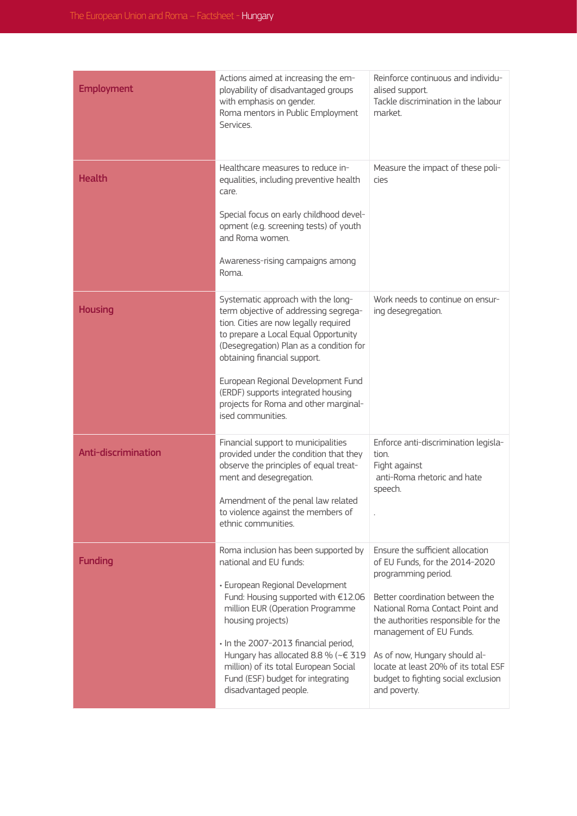| <b>Employment</b>   | Actions aimed at increasing the em-<br>ployability of disadvantaged groups<br>with emphasis on gender.<br>Roma mentors in Public Employment<br>Services.                                                                                                                                                                                                                                | Reinforce continuous and individu-<br>alised support.<br>Tackle discrimination in the labour<br>market.                                                                                                                                                                                                                                                           |
|---------------------|-----------------------------------------------------------------------------------------------------------------------------------------------------------------------------------------------------------------------------------------------------------------------------------------------------------------------------------------------------------------------------------------|-------------------------------------------------------------------------------------------------------------------------------------------------------------------------------------------------------------------------------------------------------------------------------------------------------------------------------------------------------------------|
| <b>Health</b>       | Healthcare measures to reduce in-<br>equalities, including preventive health<br>care.<br>Special focus on early childhood devel-<br>opment (e.g. screening tests) of youth<br>and Roma women.<br>Awareness-rising campaigns among<br>Roma.                                                                                                                                              | Measure the impact of these poli-<br>cies                                                                                                                                                                                                                                                                                                                         |
| <b>Housing</b>      | Systematic approach with the long-<br>term objective of addressing segrega-<br>tion. Cities are now legally required<br>to prepare a Local Equal Opportunity<br>(Desegregation) Plan as a condition for<br>obtaining financial support.<br>European Regional Development Fund<br>(ERDF) supports integrated housing<br>projects for Roma and other marginal-<br>ised communities.       | Work needs to continue on ensur-<br>ing desegregation.                                                                                                                                                                                                                                                                                                            |
| Anti-discrimination | Financial support to municipalities<br>provided under the condition that they<br>observe the principles of equal treat-<br>ment and desegregation.<br>Amendment of the penal law related<br>to violence against the members of<br>ethnic communities.                                                                                                                                   | Enforce anti-discrimination legisla-<br>tion.<br>Fight against<br>anti-Roma rhetoric and hate<br>speech.                                                                                                                                                                                                                                                          |
| <b>Funding</b>      | Roma inclusion has been supported by<br>national and EU funds:<br>· European Regional Development<br>Fund: Housing supported with €12.06<br>million EUR (Operation Programme<br>housing projects)<br>· In the 2007-2013 financial period,<br>Hungary has allocated 8.8 % (~€ 319<br>million) of its total European Social<br>Fund (ESF) budget for integrating<br>disadvantaged people. | Ensure the sufficient allocation<br>of EU Funds, for the 2014-2020<br>programming period.<br>Better coordination between the<br>National Roma Contact Point and<br>the authorities responsible for the<br>management of EU Funds.<br>As of now, Hungary should al-<br>locate at least 20% of its total ESF<br>budget to fighting social exclusion<br>and poverty. |